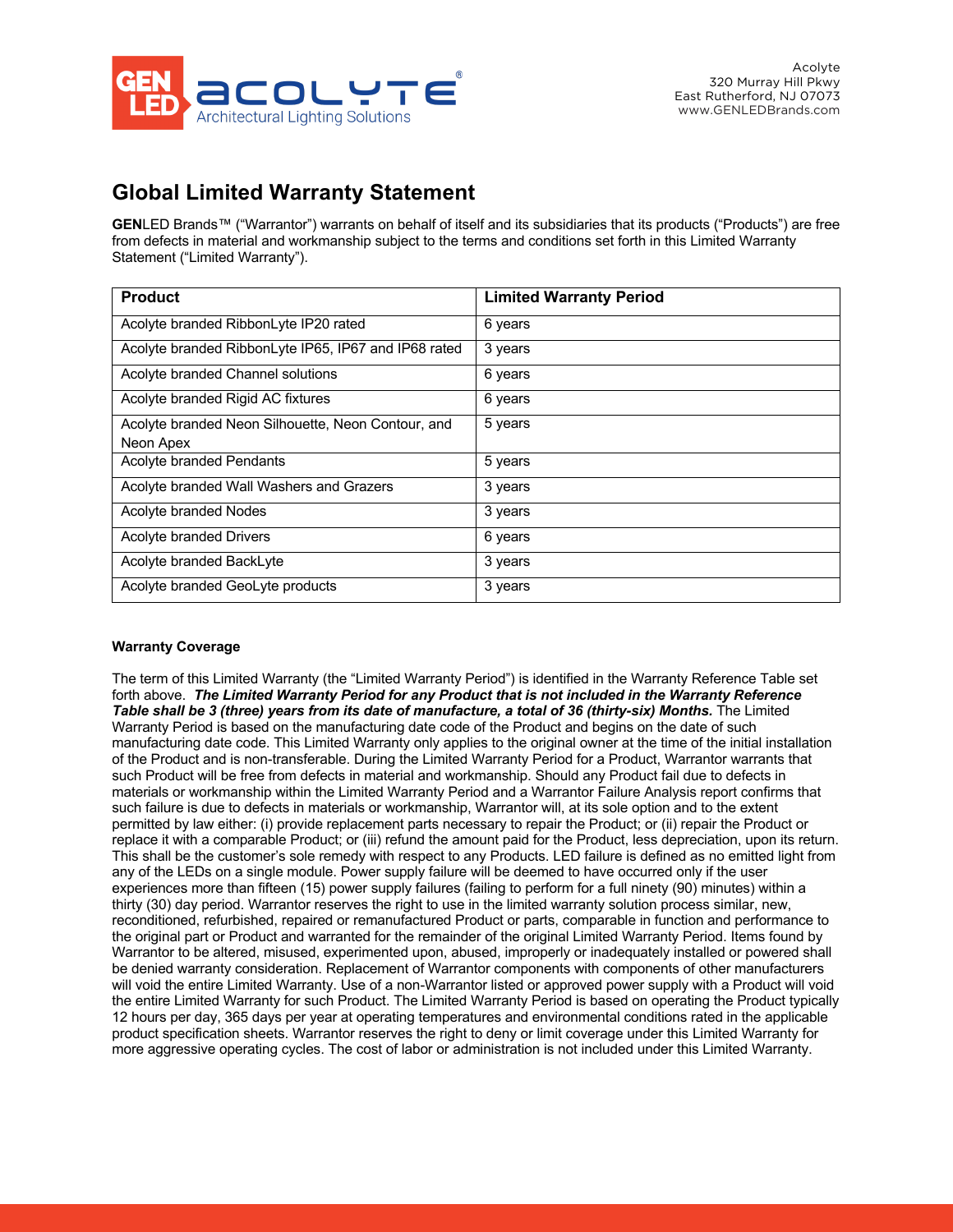

# **Global Limited Warranty Statement**

**GEN**LED Brands™ ("Warrantor") warrants on behalf of itself and its subsidiaries that its products ("Products") are free from defects in material and workmanship subject to the terms and conditions set forth in this Limited Warranty Statement ("Limited Warranty").

| <b>Product</b>                                       | <b>Limited Warranty Period</b> |
|------------------------------------------------------|--------------------------------|
| Acolyte branded RibbonLyte IP20 rated                | 6 years                        |
| Acolyte branded RibbonLyte IP65, IP67 and IP68 rated | 3 years                        |
| Acolyte branded Channel solutions                    | 6 years                        |
| Acolyte branded Rigid AC fixtures                    | 6 years                        |
| Acolyte branded Neon Silhouette, Neon Contour, and   | 5 years                        |
| Neon Apex                                            |                                |
| Acolyte branded Pendants                             | 5 years                        |
| Acolyte branded Wall Washers and Grazers             | 3 years                        |
| Acolyte branded Nodes                                | 3 years                        |
| <b>Acolyte branded Drivers</b>                       | 6 years                        |
| Acolyte branded BackLyte                             | 3 years                        |
| Acolyte branded GeoLyte products                     | 3 years                        |

## **Warranty Coverage**

The term of this Limited Warranty (the "Limited Warranty Period") is identified in the Warranty Reference Table set forth above. *The Limited Warranty Period for any Product that is not included in the Warranty Reference Table shall be 3 (three) years from its date of manufacture, a total of 36 (thirty-six) Months.* The Limited Warranty Period is based on the manufacturing date code of the Product and begins on the date of such manufacturing date code. This Limited Warranty only applies to the original owner at the time of the initial installation of the Product and is non-transferable. During the Limited Warranty Period for a Product, Warrantor warrants that such Product will be free from defects in material and workmanship. Should any Product fail due to defects in materials or workmanship within the Limited Warranty Period and a Warrantor Failure Analysis report confirms that such failure is due to defects in materials or workmanship, Warrantor will, at its sole option and to the extent permitted by law either: (i) provide replacement parts necessary to repair the Product; or (ii) repair the Product or replace it with a comparable Product; or (iii) refund the amount paid for the Product, less depreciation, upon its return. This shall be the customer's sole remedy with respect to any Products. LED failure is defined as no emitted light from any of the LEDs on a single module. Power supply failure will be deemed to have occurred only if the user experiences more than fifteen (15) power supply failures (failing to perform for a full ninety (90) minutes) within a thirty (30) day period. Warrantor reserves the right to use in the limited warranty solution process similar, new, reconditioned, refurbished, repaired or remanufactured Product or parts, comparable in function and performance to the original part or Product and warranted for the remainder of the original Limited Warranty Period. Items found by Warrantor to be altered, misused, experimented upon, abused, improperly or inadequately installed or powered shall be denied warranty consideration. Replacement of Warrantor components with components of other manufacturers will void the entire Limited Warranty. Use of a non-Warrantor listed or approved power supply with a Product will void the entire Limited Warranty for such Product. The Limited Warranty Period is based on operating the Product typically 12 hours per day, 365 days per year at operating temperatures and environmental conditions rated in the applicable product specification sheets. Warrantor reserves the right to deny or limit coverage under this Limited Warranty for more aggressive operating cycles. The cost of labor or administration is not included under this Limited Warranty.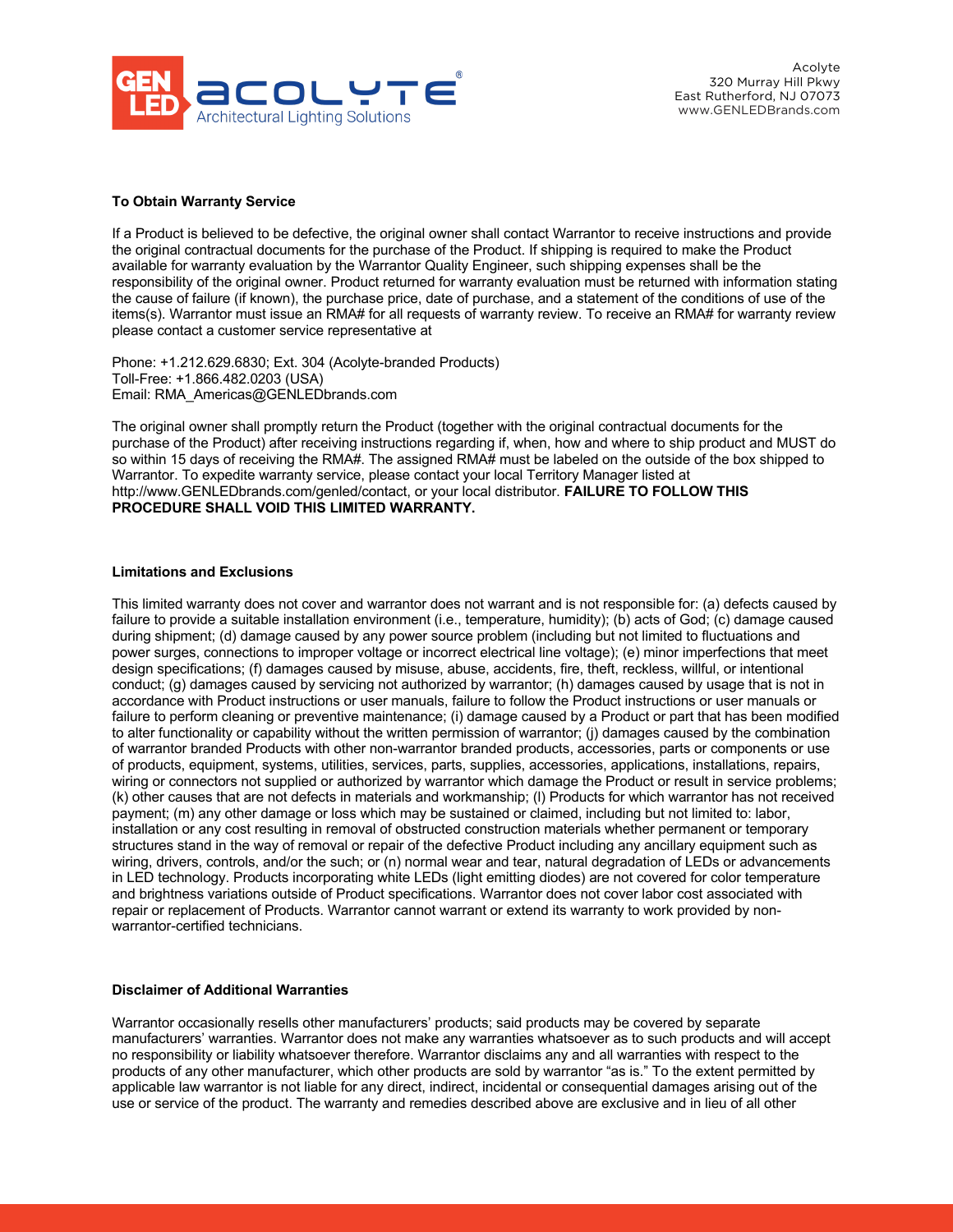

### **To Obtain Warranty Service**

If a Product is believed to be defective, the original owner shall contact Warrantor to receive instructions and provide the original contractual documents for the purchase of the Product. If shipping is required to make the Product available for warranty evaluation by the Warrantor Quality Engineer, such shipping expenses shall be the responsibility of the original owner. Product returned for warranty evaluation must be returned with information stating the cause of failure (if known), the purchase price, date of purchase, and a statement of the conditions of use of the items(s). Warrantor must issue an RMA# for all requests of warranty review. To receive an RMA# for warranty review please contact a customer service representative at

Phone: +1.212.629.6830; Ext. 304 (Acolyte-branded Products) Toll-Free: +1.866.482.0203 (USA) Email: RMA\_Americas@GENLEDbrands.com

The original owner shall promptly return the Product (together with the original contractual documents for the purchase of the Product) after receiving instructions regarding if, when, how and where to ship product and MUST do so within 15 days of receiving the RMA#. The assigned RMA# must be labeled on the outside of the box shipped to Warrantor. To expedite warranty service, please contact your local Territory Manager listed at http://www.GENLEDbrands.com/genled/contact, or your local distributor. **FAILURE TO FOLLOW THIS PROCEDURE SHALL VOID THIS LIMITED WARRANTY.**

#### **Limitations and Exclusions**

This limited warranty does not cover and warrantor does not warrant and is not responsible for: (a) defects caused by failure to provide a suitable installation environment (i.e., temperature, humidity); (b) acts of God; (c) damage caused during shipment; (d) damage caused by any power source problem (including but not limited to fluctuations and power surges, connections to improper voltage or incorrect electrical line voltage); (e) minor imperfections that meet design specifications; (f) damages caused by misuse, abuse, accidents, fire, theft, reckless, willful, or intentional conduct; (g) damages caused by servicing not authorized by warrantor; (h) damages caused by usage that is not in accordance with Product instructions or user manuals, failure to follow the Product instructions or user manuals or failure to perform cleaning or preventive maintenance; (i) damage caused by a Product or part that has been modified to alter functionality or capability without the written permission of warrantor; (j) damages caused by the combination of warrantor branded Products with other non-warrantor branded products, accessories, parts or components or use of products, equipment, systems, utilities, services, parts, supplies, accessories, applications, installations, repairs, wiring or connectors not supplied or authorized by warrantor which damage the Product or result in service problems; (k) other causes that are not defects in materials and workmanship; (l) Products for which warrantor has not received payment; (m) any other damage or loss which may be sustained or claimed, including but not limited to: labor, installation or any cost resulting in removal of obstructed construction materials whether permanent or temporary structures stand in the way of removal or repair of the defective Product including any ancillary equipment such as wiring, drivers, controls, and/or the such; or (n) normal wear and tear, natural degradation of LEDs or advancements in LED technology. Products incorporating white LEDs (light emitting diodes) are not covered for color temperature and brightness variations outside of Product specifications. Warrantor does not cover labor cost associated with repair or replacement of Products. Warrantor cannot warrant or extend its warranty to work provided by nonwarrantor-certified technicians.

#### **Disclaimer of Additional Warranties**

Warrantor occasionally resells other manufacturers' products; said products may be covered by separate manufacturers' warranties. Warrantor does not make any warranties whatsoever as to such products and will accept no responsibility or liability whatsoever therefore. Warrantor disclaims any and all warranties with respect to the products of any other manufacturer, which other products are sold by warrantor "as is." To the extent permitted by applicable law warrantor is not liable for any direct, indirect, incidental or consequential damages arising out of the use or service of the product. The warranty and remedies described above are exclusive and in lieu of all other